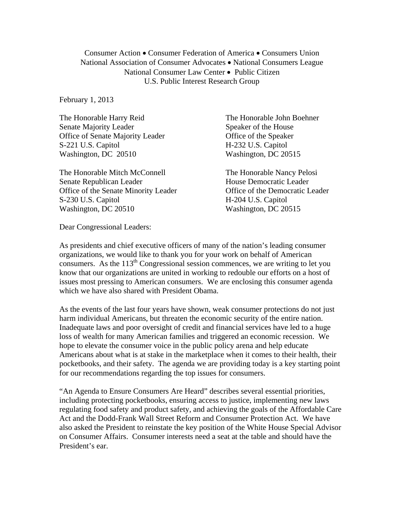Consumer Action • Consumer Federation of America • Consumers Union National Association of Consumer Advocates • National Consumers League National Consumer Law Center • Public Citizen U.S. Public Interest Research Group

February 1, 2013

The Honorable Harry Reid The Honorable John Boehner Senate Majority Leader Speaker of the House Office of Senate Majority Leader **Office** of the Speaker S-221 U.S. Capitol H-232 U.S. Capitol Washington, DC 20510 Washington, DC 20515

The Honorable Mitch McConnell The Honorable Nancy Pelosi Senate Republican Leader House Democratic Leader Office of the Senate Minority Leader **Office of the Democratic Leader** S-230 U.S. Capitol H-204 U.S. Capitol Washington, DC 20510 Washington, DC 20515

Dear Congressional Leaders:

As presidents and chief executive officers of many of the nation's leading consumer organizations, we would like to thank you for your work on behalf of American consumers. As the 113<sup>th</sup> Congressional session commences, we are writing to let you know that our organizations are united in working to redouble our efforts on a host of issues most pressing to American consumers. We are enclosing this consumer agenda which we have also shared with President Obama.

As the events of the last four years have shown, weak consumer protections do not just harm individual Americans, but threaten the economic security of the entire nation. Inadequate laws and poor oversight of credit and financial services have led to a huge loss of wealth for many American families and triggered an economic recession. We hope to elevate the consumer voice in the public policy arena and help educate Americans about what is at stake in the marketplace when it comes to their health, their pocketbooks, and their safety. The agenda we are providing today is a key starting point for our recommendations regarding the top issues for consumers.

"An Agenda to Ensure Consumers Are Heard" describes several essential priorities, including protecting pocketbooks, ensuring access to justice, implementing new laws regulating food safety and product safety, and achieving the goals of the Affordable Care Act and the Dodd-Frank Wall Street Reform and Consumer Protection Act. We have also asked the President to reinstate the key position of the White House Special Advisor on Consumer Affairs. Consumer interests need a seat at the table and should have the President's ear.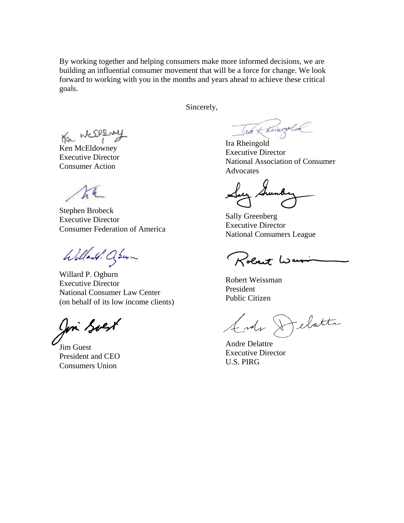By working together and helping consumers make more informed decisions, we are building an influential consumer movement that will be a force for change. We look forward to working with you in the months and years ahead to achieve these critical goals.

Sincerely,

Ha Weselm

Ken McEldowney Executive Director Consumer Action

the

Stephen Brobeck Executive Director Consumer Federation of America

Willard. Oswin

Willard P. Ogburn Executive Director National Consumer Law Center (on behalf of its low income clients)

Join Soest

Jim Guest President and CEO Consumers Union

The Kningold

Ira Rheingold Executive Director National Association of Consumer Advocates

Say Su

Sally Greenberg Executive Director National Consumers League

Robert War

Robert Weissman President Public Citizen

Ende Delatte

Andre Delattre Executive Director U.S. PIRG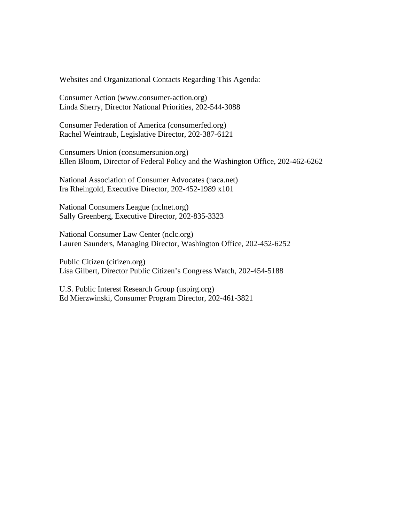Websites and Organizational Contacts Regarding This Agenda:

Consumer Action (www.consumer-action.org) Linda Sherry, Director National Priorities, 202-544-3088

Consumer Federation of America (consumerfed.org) Rachel Weintraub, Legislative Director, 202-387-6121

Consumers Union (consumersunion.org) Ellen Bloom, Director of Federal Policy and the Washington Office, 202-462-6262

National Association of Consumer Advocates (naca.net) Ira Rheingold, Executive Director, 202-452-1989 x101

National Consumers League (nclnet.org) Sally Greenberg, Executive Director, 202-835-3323

National Consumer Law Center (nclc.org) Lauren Saunders, Managing Director, Washington Office, 202-452-6252

Public Citizen (citizen.org) Lisa Gilbert, Director Public Citizen's Congress Watch, 202-454-5188

U.S. Public Interest Research Group (uspirg.org) Ed Mierzwinski, Consumer Program Director, 202-461-3821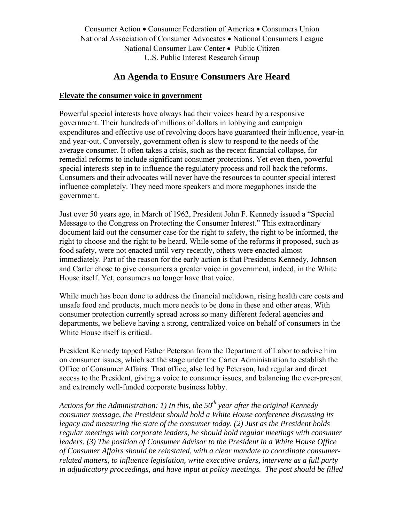Consumer Action • Consumer Federation of America • Consumers Union National Association of Consumer Advocates • National Consumers League National Consumer Law Center • Public Citizen U.S. Public Interest Research Group

# **An Agenda to Ensure Consumers Are Heard**

#### **Elevate the consumer voice in government**

Powerful special interests have always had their voices heard by a responsive government. Their hundreds of millions of dollars in lobbying and campaign expenditures and effective use of revolving doors have guaranteed their influence, year-in and year-out. Conversely, government often is slow to respond to the needs of the average consumer. It often takes a crisis, such as the recent financial collapse, for remedial reforms to include significant consumer protections. Yet even then, powerful special interests step in to influence the regulatory process and roll back the reforms. Consumers and their advocates will never have the resources to counter special interest influence completely. They need more speakers and more megaphones inside the government.

Just over 50 years ago, in March of 1962, President John F. Kennedy issued a "Special Message to the Congress on Protecting the Consumer Interest." This extraordinary document laid out the consumer case for the right to safety, the right to be informed, the right to choose and the right to be heard. While some of the reforms it proposed, such as food safety, were not enacted until very recently, others were enacted almost immediately. Part of the reason for the early action is that Presidents Kennedy, Johnson and Carter chose to give consumers a greater voice in government, indeed, in the White House itself. Yet, consumers no longer have that voice.

While much has been done to address the financial meltdown, rising health care costs and unsafe food and products, much more needs to be done in these and other areas. With consumer protection currently spread across so many different federal agencies and departments, we believe having a strong, centralized voice on behalf of consumers in the White House itself is critical.

President Kennedy tapped Esther Peterson from the Department of Labor to advise him on consumer issues, which set the stage under the Carter Administration to establish the Office of Consumer Affairs. That office, also led by Peterson, had regular and direct access to the President, giving a voice to consumer issues, and balancing the ever-present and extremely well-funded corporate business lobby.

*Actions for the Administration: 1) In this, the 50th year after the original Kennedy consumer message, the President should hold a White House conference discussing its legacy and measuring the state of the consumer today. (2) Just as the President holds regular meetings with corporate leaders, he should hold regular meetings with consumer leaders. (3) The position of Consumer Advisor to the President in a White House Office of Consumer Affairs should be reinstated, with a clear mandate to coordinate consumerrelated matters, to influence legislation, write executive orders, intervene as a full party in adjudicatory proceedings, and have input at policy meetings. The post should be filled*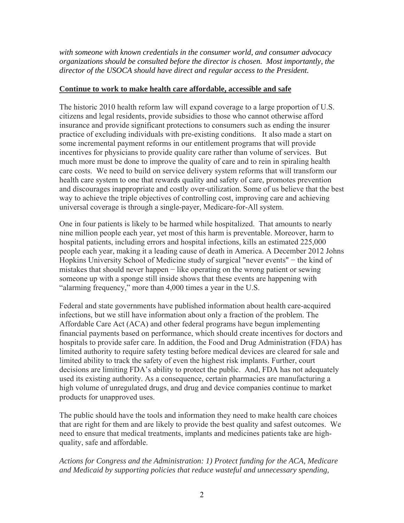*with someone with known credentials in the consumer world, and consumer advocacy organizations should be consulted before the director is chosen. Most importantly, the director of the USOCA should have direct and regular access to the President.*

## **Continue to work to make health care affordable, accessible and safe**

The historic 2010 health reform law will expand coverage to a large proportion of U.S. citizens and legal residents, provide subsidies to those who cannot otherwise afford insurance and provide significant protections to consumers such as ending the insurer practice of excluding individuals with pre-existing conditions. It also made a start on some incremental payment reforms in our entitlement programs that will provide incentives for physicians to provide quality care rather than volume of services. But much more must be done to improve the quality of care and to rein in spiraling health care costs. We need to build on service delivery system reforms that will transform our health care system to one that rewards quality and safety of care, promotes prevention and discourages inappropriate and costly over-utilization. Some of us believe that the best way to achieve the triple objectives of controlling cost, improving care and achieving universal coverage is through a single-payer, Medicare-for-All system.

One in four patients is likely to be harmed while hospitalized. That amounts to nearly nine million people each year, yet most of this harm is preventable. Moreover, harm to hospital patients, including errors and hospital infections, kills an estimated 225,000 people each year, making it a leading cause of death in America. A December 2012 Johns Hopkins University School of Medicine study of surgical "never events" − the kind of mistakes that should never happen − like operating on the wrong patient or sewing someone up with a sponge still inside shows that these events are happening with "alarming frequency," more than 4,000 times a year in the U.S.

Federal and state governments have published information about health care-acquired infections, but we still have information about only a fraction of the problem. The Affordable Care Act (ACA) and other federal programs have begun implementing financial payments based on performance, which should create incentives for doctors and hospitals to provide safer care. In addition, the Food and Drug Administration (FDA) has limited authority to require safety testing before medical devices are cleared for sale and limited ability to track the safety of even the highest risk implants. Further, court decisions are limiting FDA's ability to protect the public. And, FDA has not adequately used its existing authority. As a consequence, certain pharmacies are manufacturing a high volume of unregulated drugs, and drug and device companies continue to market products for unapproved uses.

The public should have the tools and information they need to make health care choices that are right for them and are likely to provide the best quality and safest outcomes. We need to ensure that medical treatments, implants and medicines patients take are highquality, safe and affordable.

*Actions for Congress and the Administration: 1) Protect funding for the ACA, Medicare and Medicaid by supporting policies that reduce wasteful and unnecessary spending,*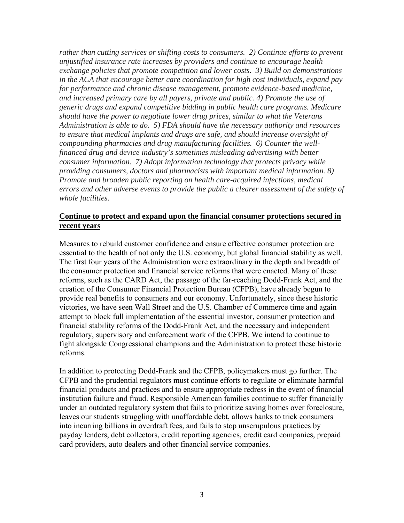*rather than cutting services or shifting costs to consumers. 2) Continue efforts to prevent unjustified insurance rate increases by providers and continue to encourage health exchange policies that promote competition and lower costs. 3) Build on demonstrations in the ACA that encourage better care coordination for high cost individuals, expand pay for performance and chronic disease management, promote evidence-based medicine, and increased primary care by all payers, private and public. 4) Promote the use of generic drugs and expand competitive bidding in public health care programs. Medicare should have the power to negotiate lower drug prices, similar to what the Veterans Administration is able to do. 5) FDA should have the necessary authority and resources to ensure that medical implants and drugs are safe, and should increase oversight of compounding pharmacies and drug manufacturing facilities. 6) Counter the wellfinanced drug and device industry's sometimes misleading advertising with better consumer information. 7) Adopt information technology that protects privacy while providing consumers, doctors and pharmacists with important medical information. 8) Promote and broaden public reporting on health care-acquired infections, medical errors and other adverse events to provide the public a clearer assessment of the safety of whole facilities.* 

### **Continue to protect and expand upon the financial consumer protections secured in recent years**

Measures to rebuild customer confidence and ensure effective consumer protection are essential to the health of not only the U.S. economy, but global financial stability as well. The first four years of the Administration were extraordinary in the depth and breadth of the consumer protection and financial service reforms that were enacted. Many of these reforms, such as the CARD Act, the passage of the far-reaching Dodd-Frank Act, and the creation of the Consumer Financial Protection Bureau (CFPB), have already begun to provide real benefits to consumers and our economy. Unfortunately, since these historic victories, we have seen Wall Street and the U.S. Chamber of Commerce time and again attempt to block full implementation of the essential investor, consumer protection and financial stability reforms of the Dodd-Frank Act, and the necessary and independent regulatory, supervisory and enforcement work of the CFPB. We intend to continue to fight alongside Congressional champions and the Administration to protect these historic reforms.

In addition to protecting Dodd-Frank and the CFPB, policymakers must go further. The CFPB and the prudential regulators must continue efforts to regulate or eliminate harmful financial products and practices and to ensure appropriate redress in the event of financial institution failure and fraud. Responsible American families continue to suffer financially under an outdated regulatory system that fails to prioritize saving homes over foreclosure, leaves our students struggling with unaffordable debt, allows banks to trick consumers into incurring billions in overdraft fees, and fails to stop unscrupulous practices by payday lenders, debt collectors, credit reporting agencies, credit card companies, prepaid card providers, auto dealers and other financial service companies.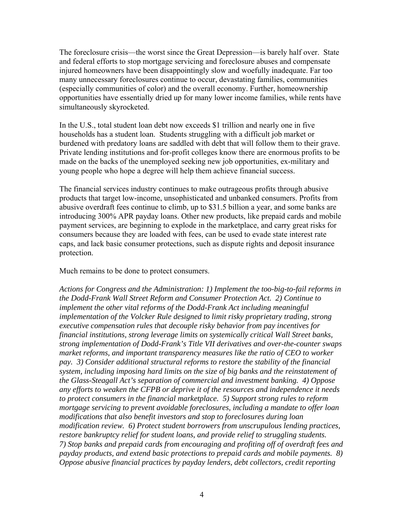The foreclosure crisis—the worst since the Great Depression—is barely half over. State and federal efforts to stop mortgage servicing and foreclosure abuses and compensate injured homeowners have been disappointingly slow and woefully inadequate. Far too many unnecessary foreclosures continue to occur, devastating families, communities (especially communities of color) and the overall economy. Further, homeownership opportunities have essentially dried up for many lower income families, while rents have simultaneously skyrocketed.

In the U.S., total student loan debt now exceeds \$1 trillion and nearly one in five households has a student loan. Students struggling with a difficult job market or burdened with predatory loans are saddled with debt that will follow them to their grave. Private lending institutions and for-profit colleges know there are enormous profits to be made on the backs of the unemployed seeking new job opportunities, ex-military and young people who hope a degree will help them achieve financial success.

The financial services industry continues to make outrageous profits through abusive products that target low-income, unsophisticated and unbanked consumers. Profits from abusive overdraft fees continue to climb, up to \$31.5 billion a year, and some banks are introducing 300% APR payday loans. Other new products, like prepaid cards and mobile payment services, are beginning to explode in the marketplace, and carry great risks for consumers because they are loaded with fees, can be used to evade state interest rate caps, and lack basic consumer protections, such as dispute rights and deposit insurance protection.

Much remains to be done to protect consumers.

*Actions for Congress and the Administration: 1) Implement the too-big-to-fail reforms in the Dodd-Frank Wall Street Reform and Consumer Protection Act. 2) Continue to implement the other vital reforms of the Dodd-Frank Act including meaningful implementation of the Volcker Rule designed to limit risky proprietary trading, strong executive compensation rules that decouple risky behavior from pay incentives for financial institutions, strong leverage limits on systemically critical Wall Street banks, strong implementation of Dodd-Frank's Title VII derivatives and over-the-counter swaps market reforms, and important transparency measures like the ratio of CEO to worker pay. 3) Consider additional structural reforms to restore the stability of the financial system, including imposing hard limits on the size of big banks and the reinstatement of the Glass-Steagall Act's separation of commercial and investment banking. 4) Oppose any efforts to weaken the CFPB or deprive it of the resources and independence it needs to protect consumers in the financial marketplace. 5) Support strong rules to reform mortgage servicing to prevent avoidable foreclosures, including a mandate to offer loan modifications that also benefit investors and stop to foreclosures during loan modification review. 6) Protect student borrowers from unscrupulous lending practices, restore bankruptcy relief for student loans, and provide relief to struggling students. 7) Stop banks and prepaid cards from encouraging and profiting off of overdraft fees and payday products, and extend basic protections to prepaid cards and mobile payments. 8) Oppose abusive financial practices by payday lenders, debt collectors, credit reporting*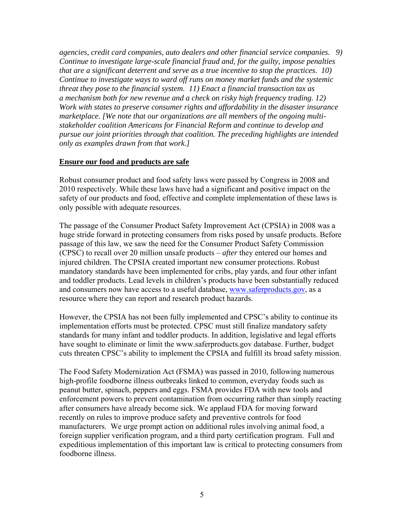*agencies, credit card companies, auto dealers and other financial service companies. 9) Continue to investigate large-scale financial fraud and, for the guilty, impose penalties that are a significant deterrent and serve as a true incentive to stop the practices. 10) Continue to investigate ways to ward off runs on money market funds and the systemic threat they pose to the financial system. 11) Enact a financial transaction tax as a mechanism both for new revenue and a check on risky high frequency trading. 12) Work with states to preserve consumer rights and affordability in the disaster insurance marketplace. [We note that our organizations are all members of the ongoing multistakeholder coalition Americans for Financial Reform and continue to develop and pursue our joint priorities through that coalition. The preceding highlights are intended only as examples drawn from that work.]* 

#### **Ensure our food and products are safe**

Robust consumer product and food safety laws were passed by Congress in 2008 and 2010 respectively. While these laws have had a significant and positive impact on the safety of our products and food, effective and complete implementation of these laws is only possible with adequate resources.

The passage of the Consumer Product Safety Improvement Act (CPSIA) in 2008 was a huge stride forward in protecting consumers from risks posed by unsafe products. Before passage of this law, we saw the need for the Consumer Product Safety Commission (CPSC) to recall over 20 million unsafe products – *after* they entered our homes and injured children. The CPSIA created important new consumer protections. Robust mandatory standards have been implemented for cribs, play yards, and four other infant and toddler products. Lead levels in children's products have been substantially reduced and consumers now have access to a useful database, [www.saferproducts.gov,](http://www.saferproducts.gov/) as a resource where they can report and research product hazards.

However, the CPSIA has not been fully implemented and CPSC's ability to continue its implementation efforts must be protected. CPSC must still finalize mandatory safety standards for many infant and toddler products. In addition, legislative and legal efforts have sought to eliminate or limit the www.saferproducts.gov database. Further, budget cuts threaten CPSC's ability to implement the CPSIA and fulfill its broad safety mission.

The Food Safety Modernization Act (FSMA) was passed in 2010, following numerous high-profile foodborne illness outbreaks linked to common, everyday foods such as peanut butter, spinach, peppers and eggs. FSMA provides FDA with new tools and enforcement powers to prevent contamination from occurring rather than simply reacting after consumers have already become sick. We applaud FDA for moving forward recently on rules to improve produce safety and preventive controls for food manufacturers. We urge prompt action on additional rules involving animal food, a foreign supplier verification program, and a third party certification program. Full and expeditious implementation of this important law is critical to protecting consumers from foodborne illness.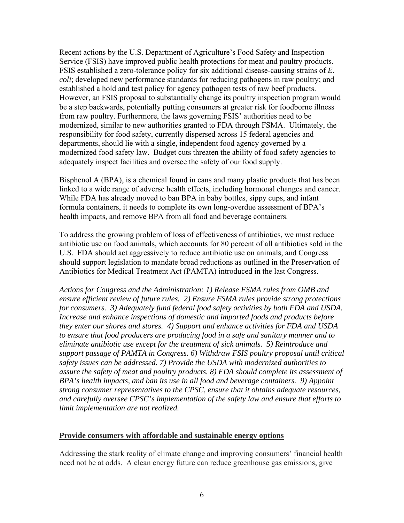Recent actions by the U.S. Department of Agriculture's Food Safety and Inspection Service (FSIS) have improved public health protections for meat and poultry products. FSIS established a zero-tolerance policy for six additional disease-causing strains of *E. coli*; developed new performance standards for reducing pathogens in raw poultry; and established a hold and test policy for agency pathogen tests of raw beef products. However, an FSIS proposal to substantially change its poultry inspection program would be a step backwards, potentially putting consumers at greater risk for foodborne illness from raw poultry. Furthermore, the laws governing FSIS' authorities need to be modernized, similar to new authorities granted to FDA through FSMA. Ultimately, the responsibility for food safety, currently dispersed across 15 federal agencies and departments, should lie with a single, independent food agency governed by a modernized food safety law. Budget cuts threaten the ability of food safety agencies to adequately inspect facilities and oversee the safety of our food supply.

Bisphenol A (BPA), is a chemical found in cans and many plastic products that has been linked to a wide range of adverse health effects, including hormonal changes and cancer. While FDA has already moved to ban BPA in baby bottles, sippy cups, and infant formula containers, it needs to complete its own long-overdue assessment of BPA's health impacts, and remove BPA from all food and beverage containers.

To address the growing problem of loss of effectiveness of antibiotics, we must reduce antibiotic use on food animals, which accounts for 80 percent of all antibiotics sold in the U.S. FDA should act aggressively to reduce antibiotic use on animals, and Congress should support legislation to mandate broad reductions as outlined in the Preservation of Antibiotics for Medical Treatment Act (PAMTA) introduced in the last Congress.

*Actions for Congress and the Administration: 1) Release FSMA rules from OMB and ensure efficient review of future rules. 2) Ensure FSMA rules provide strong protections for consumers. 3) Adequately fund federal food safety activities by both FDA and USDA. Increase and enhance inspections of domestic and imported foods and products before they enter our shores and stores. 4) Support and enhance activities for FDA and USDA to ensure that food producers are producing food in a safe and sanitary manner and to eliminate antibiotic use except for the treatment of sick animals. 5) Reintroduce and support passage of PAMTA in Congress. 6) Withdraw FSIS poultry proposal until critical safety issues can be addressed. 7) Provide the USDA with modernized authorities to assure the safety of meat and poultry products. 8) FDA should complete its assessment of BPA's health impacts, and ban its use in all food and beverage containers. 9) Appoint strong consumer representatives to the CPSC, ensure that it obtains adequate resources, and carefully oversee CPSC's implementation of the safety law and ensure that efforts to limit implementation are not realized.* 

#### **Provide consumers with affordable and sustainable energy options**

Addressing the stark reality of climate change and improving consumers' financial health need not be at odds. A clean energy future can reduce greenhouse gas emissions, give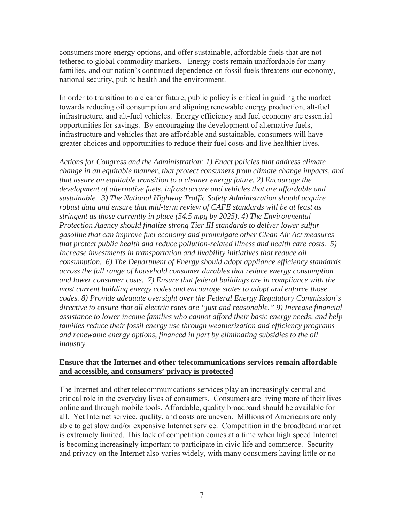consumers more energy options, and offer sustainable, affordable fuels that are not tethered to global commodity markets. Energy costs remain unaffordable for many families, and our nation's continued dependence on fossil fuels threatens our economy, national security, public health and the environment.

In order to transition to a cleaner future, public policy is critical in guiding the market towards reducing oil consumption and aligning renewable energy production, alt-fuel infrastructure, and alt-fuel vehicles. Energy efficiency and fuel economy are essential opportunities for savings. By encouraging the development of alternative fuels, infrastructure and vehicles that are affordable and sustainable, consumers will have greater choices and opportunities to reduce their fuel costs and live healthier lives.

*Actions for Congress and the Administration: 1) Enact policies that address climate change in an equitable manner, that protect consumers from climate change impacts, and that assure an equitable transition to a cleaner energy future. 2) Encourage the development of alternative fuels, infrastructure and vehicles that are affordable and sustainable. 3) The National Highway Traffic Safety Administration should acquire robust data and ensure that mid-term review of CAFE standards will be at least as stringent as those currently in place (54.5 mpg by 2025). 4) The Environmental Protection Agency should finalize strong Tier III standards to deliver lower sulfur gasoline that can improve fuel economy and promulgate other Clean Air Act measures that protect public health and reduce pollution-related illness and health care costs. 5) Increase investments in transportation and livability initiatives that reduce oil consumption. 6) The Department of Energy should adopt appliance efficiency standards across the full range of household consumer durables that reduce energy consumption and lower consumer costs. 7) Ensure that federal buildings are in compliance with the most current building energy codes and encourage states to adopt and enforce those codes. 8) Provide adequate oversight over the Federal Energy Regulatory Commission's directive to ensure that all electric rates are "just and reasonable." 9) Increase financial assistance to lower income families who cannot afford their basic energy needs, and help families reduce their fossil energy use through weatherization and efficiency programs and renewable energy options, financed in part by eliminating subsidies to the oil industry.*

#### **Ensure that the Internet and other telecommunications services remain affordable and accessible, and consumers' privacy is protected**

The Internet and other telecommunications services play an increasingly central and critical role in the everyday lives of consumers. Consumers are living more of their lives online and through mobile tools. Affordable, quality broadband should be available for all. Yet Internet service, quality, and costs are uneven. Millions of Americans are only able to get slow and/or expensive Internet service. Competition in the broadband market is extremely limited. This lack of competition comes at a time when high speed Internet is becoming increasingly important to participate in civic life and commerce. Security and privacy on the Internet also varies widely, with many consumers having little or no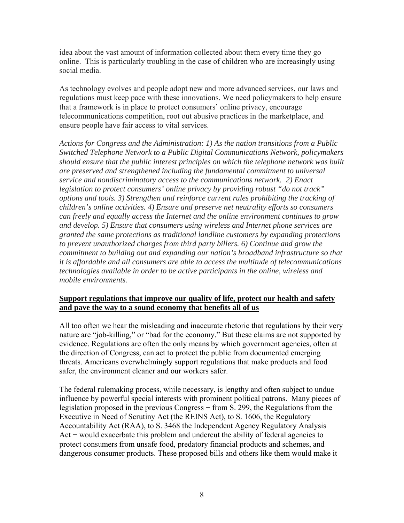idea about the vast amount of information collected about them every time they go online. This is particularly troubling in the case of children who are increasingly using social media.

As technology evolves and people adopt new and more advanced services, our laws and regulations must keep pace with these innovations. We need policymakers to help ensure that a framework is in place to protect consumers' online privacy, encourage telecommunications competition, root out abusive practices in the marketplace, and ensure people have fair access to vital services.

*Actions for Congress and the Administration: 1) As the nation transitions from a Public Switched Telephone Network to a Public Digital Communications Network, policymakers should ensure that the public interest principles on which the telephone network was built are preserved and strengthened including the fundamental commitment to universal service and nondiscriminatory access to the communications network. 2) Enact legislation to protect consumers' online privacy by providing robust "do not track" options and tools. 3) Strengthen and reinforce current rules prohibiting the tracking of children's online activities. 4) Ensure and preserve net neutrality efforts so consumers can freely and equally access the Internet and the online environment continues to grow and develop. 5) Ensure that consumers using wireless and Internet phone services are granted the same protections as traditional landline customers by expanding protections to prevent unauthorized charges from third party billers. 6) Continue and grow the commitment to building out and expanding our nation's broadband infrastructure so that it is affordable and all consumers are able to access the multitude of telecommunications technologies available in order to be active participants in the online, wireless and mobile environments.*

## **Support regulations that improve our quality of life, protect our health and safety and pave the way to a sound economy that benefits all of us**

All too often we hear the misleading and inaccurate rhetoric that regulations by their very nature are "job-killing," or "bad for the economy." But these claims are not supported by evidence. Regulations are often the only means by which government agencies, often at the direction of Congress, can act to protect the public from documented emerging threats. Americans overwhelmingly support regulations that make products and food safer, the environment cleaner and our workers safer.

The federal rulemaking process, while necessary, is lengthy and often subject to undue influence by powerful special interests with prominent political patrons. Many pieces of legislation proposed in the previous Congress − from S. 299, the Regulations from the Executive in Need of Scrutiny Act (the REINS Act), to S. 1606, the Regulatory Accountability Act (RAA), to S. 3468 the Independent Agency Regulatory Analysis Act − would exacerbate this problem and undercut the ability of federal agencies to protect consumers from unsafe food, predatory financial products and schemes, and dangerous consumer products. These proposed bills and others like them would make it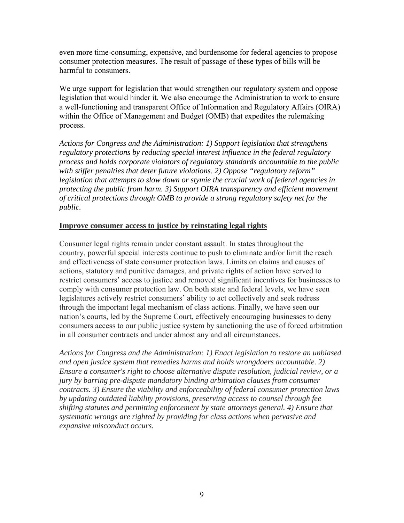even more time-consuming, expensive, and burdensome for federal agencies to propose consumer protection measures. The result of passage of these types of bills will be harmful to consumers.

We urge support for legislation that would strengthen our regulatory system and oppose legislation that would hinder it. We also encourage the Administration to work to ensure a well-functioning and transparent Office of Information and Regulatory Affairs (OIRA) within the Office of Management and Budget (OMB) that expedites the rulemaking process.

*Actions for Congress and the Administration: 1) Support legislation that strengthens regulatory protections by reducing special interest influence in the federal regulatory process and holds corporate violators of regulatory standards accountable to the public with stiffer penalties that deter future violations*. *2) Oppose "regulatory reform" legislation that attempts to slow down or stymie the crucial work of federal agencies in protecting the public from harm. 3) Support OIRA transparency and efficient movement of critical protections through OMB to provide a strong regulatory safety net for the public.* 

#### **Improve consumer access to justice by reinstating legal rights**

Consumer legal rights remain under constant assault. In states throughout the country, powerful special interests continue to push to eliminate and/or limit the reach and effectiveness of state consumer protection laws. Limits on claims and causes of actions, statutory and punitive damages, and private rights of action have served to restrict consumers' access to justice and removed significant incentives for businesses to comply with consumer protection law. On both state and federal levels, we have seen legislatures actively restrict consumers' ability to act collectively and seek redress through the important legal mechanism of class actions. Finally, we have seen our nation's courts, led by the Supreme Court, effectively encouraging businesses to deny consumers access to our public justice system by sanctioning the use of forced arbitration in all consumer contracts and under almost any and all circumstances.

*Actions for Congress and the Administration: 1) Enact legislation to restore an unbiased and open justice system that remedies harms and holds wrongdoers accountable. 2) Ensure a consumer's right to choose alternative dispute resolution, judicial review, or a jury by barring pre-dispute mandatory binding arbitration clauses from consumer contracts. 3) Ensure the viability and enforceability of federal consumer protection laws by updating outdated liability provisions, preserving access to counsel through fee shifting statutes and permitting enforcement by state attorneys general. 4) Ensure that systematic wrongs are righted by providing for class actions when pervasive and expansive misconduct occurs.*